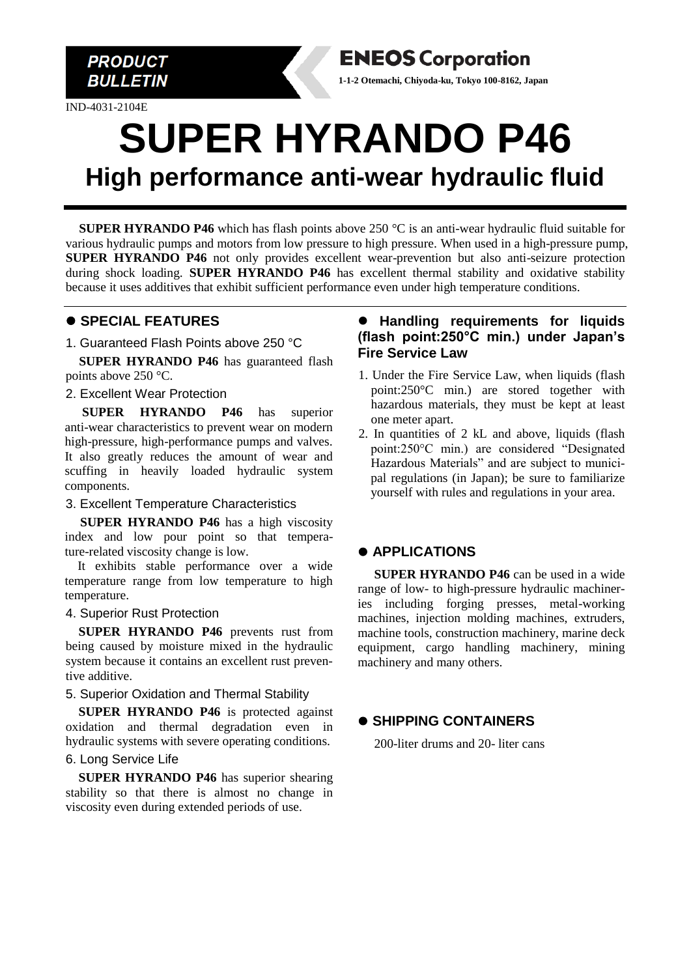

IND-4031-2104E

# **SUPER HYRANDO P46 High performance anti-wear hydraulic fluid**

**SUPER HYRANDO P46** which has flash points above 250 °C is an anti-wear hydraulic fluid suitable for various hydraulic pumps and motors from low pressure to high pressure. When used in a high-pressure pump, **SUPER HYRANDO P46** not only provides excellent wear-prevention but also anti-seizure protection during shock loading. **SUPER HYRANDO P46** has excellent thermal stability and oxidative stability because it uses additives that exhibit sufficient performance even under high temperature conditions.

## ⚫ **SPECIAL FEATURES**

1. Guaranteed Flash Points above 250 °C

**SUPER HYRANDO P46** has guaranteed flash points above 250 °C.

2. Excellent Wear Protection

**SUPER HYRANDO P46** has superior anti-wear characteristics to prevent wear on modern high-pressure, high-performance pumps and valves. It also greatly reduces the amount of wear and scuffing in heavily loaded hydraulic system components.

3. Excellent Temperature Characteristics

**SUPER HYRANDO P46** has a high viscosity index and low pour point so that temperature-related viscosity change is low.

It exhibits stable performance over a wide temperature range from low temperature to high temperature.

#### 4. Superior Rust Protection

**SUPER HYRANDO P46** prevents rust from being caused by moisture mixed in the hydraulic system because it contains an excellent rust preventive additive.

#### 5. Superior Oxidation and Thermal Stability

**SUPER HYRANDO P46** is protected against oxidation and thermal degradation even in hydraulic systems with severe operating conditions.

#### 6. Long Service Life

**SUPER HYRANDO P46** has superior shearing stability so that there is almost no change in viscosity even during extended periods of use.

#### ⚫ **Handling requirements for liquids (flash point:250°C min.) under Japan's Fire Service Law**

**1-1-2 Otemachi, Chiyoda-ku, Tokyo 100-8162, Japan**

**ENEOS Corporation** 

- 1. Under the Fire Service Law, when liquids (flash point:250°C min.) are stored together with hazardous materials, they must be kept at least one meter apart.
- 2. In quantities of 2 kL and above, liquids (flash point:250°C min.) are considered "Designated Hazardous Materials" and are subject to municipal regulations (in Japan); be sure to familiarize yourself with rules and regulations in your area.

## ⚫ **APPLICATIONS**

**SUPER HYRANDO P46** can be used in a wide range of low- to high-pressure hydraulic machineries including forging presses, metal-working machines, injection molding machines, extruders, machine tools, construction machinery, marine deck equipment, cargo handling machinery, mining machinery and many others.

## ⚫ **SHIPPING CONTAINERS**

200-liter drums and 20- liter cans